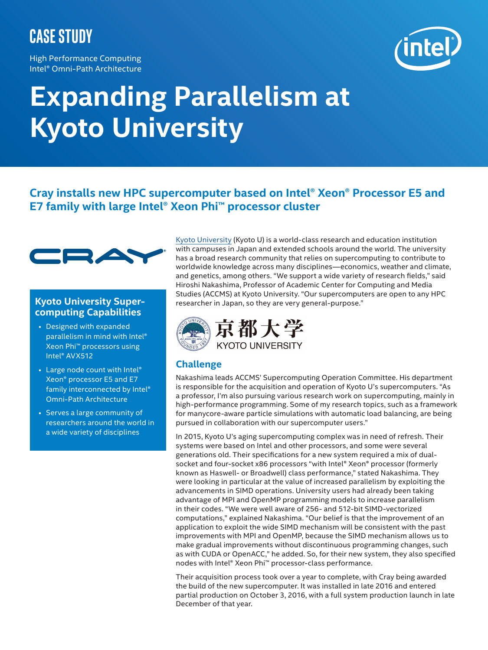# **case study**

High Performance Computing Intel® Omni-Path Architecture



# **Expanding Parallelism at Kyoto University**

## **Cray installs new HPC supercomputer based on Intel® Xeon® Processor E5 and E7 family with large Intel® Xeon Phi™ processor cluster**



#### **Kyoto University Supercomputing Capabilities**

- Designed with expanded parallelism in mind with Intel® Xeon Phi™ processors using Intel® AVX512
- Large node count with Intel® Xeon® processor E5 and E7 family interconnected by Intel® Omni-Path Architecture
- Serves a large community of researchers around the world in a wide variety of disciplines

Kyoto University (Kyoto U) is a world-class research and education institution with campuses in Japan and extended schools around the world. The university has a broad research community that relies on supercomputing to contribute to worldwide knowledge across many disciplines—economics, weather and climate, and genetics, among others. "We support a wide variety of research fields," said Hiroshi Nakashima, Professor of Academic Center for Computing and Media Studies (ACCMS) at Kyoto University. "Our supercomputers are open to any HPC researcher in Japan, so they are very general-purpose."



### **Challenge**

Nakashima leads ACCMS' Supercomputing Operation Committee. His department is responsible for the acquisition and operation of Kyoto U's supercomputers. "As a professor, I'm also pursuing various research work on supercomputing, mainly in high-performance programming. Some of my research topics, such as a framework for manycore-aware particle simulations with automatic load balancing, are being pursued in collaboration with our supercomputer users."

In 2015, Kyoto U's aging supercomputing complex was in need of refresh. Their systems were based on Intel and other processors, and some were several generations old. Their specifications for a new system required a mix of dualsocket and four-socket x86 processors "with Intel**®** Xeon**®** processor (formerly known as Haswell- or Broadwell) class performance," stated Nakashima. They were looking in particular at the value of increased parallelism by exploiting the advancements in SIMD operations. University users had already been taking advantage of MPI and OpenMP programming models to increase parallelism in their codes. "We were well aware of 256- and 512-bit SIMD-vectorized computations," explained Nakashima. "Our belief is that the improvement of an application to exploit the wide SIMD mechanism will be consistent with the past improvements with MPI and OpenMP, because the SIMD mechanism allows us to make gradual improvements without discontinuous programming changes, such as with CUDA or OpenACC," he added. So, for their new system, they also specified nodes with Intel® Xeon Phi™ processor-class performance.

Their acquisition process took over a year to complete, with Cray being awarded the build of the new supercomputer. It was installed in late 2016 and entered partial production on October 3, 2016, with a full system production launch in late December of that year.